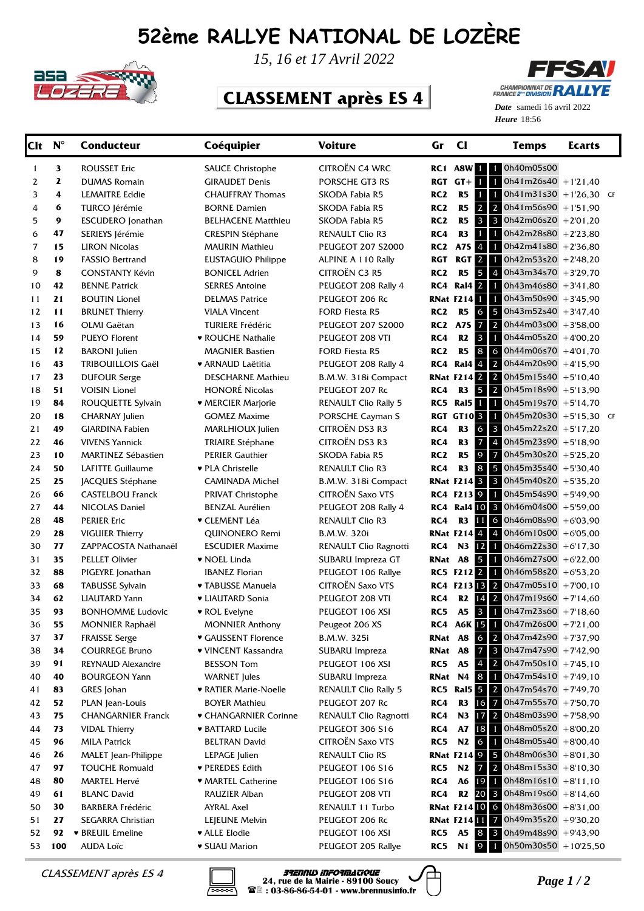## **52ème RALLYE NATIONAL DE LOZÈRE**



*15, 16 et 17 Avril 2022*

## **CLASSEMENT après ES 4**



Heure 18:56 *Date* samedi 16 avril 2022

| <b>Clt</b> | $\mathbf{N}^{\circ}$ | <b>Conducteur</b>          | Coéquipier                | <b>Voiture</b>              | Gr              | $cl$                        | <b>Temps</b>                                                   | <b>Ecarts</b> |  |
|------------|----------------------|----------------------------|---------------------------|-----------------------------|-----------------|-----------------------------|----------------------------------------------------------------|---------------|--|
| 1          | 3                    | <b>ROUSSET Eric</b>        | <b>SAUCE Christophe</b>   | CITROËN C4 WRC              |                 |                             | RC1 A8W 1 0h40m05s00                                           |               |  |
| 2          | 2                    | <b>DUMAS Romain</b>        | <b>GIRAUDET Denis</b>     | PORSCHE GT3 RS              |                 | $RGT$ $GT + T$              | 4<br>$0h41m26s40 + 1'21,40$                                    |               |  |
| 3          | 4                    | <b>LEMAITRE Eddie</b>      | <b>CHAUFFRAY Thomas</b>   | SKODA Fabia R5              | RC <sub>2</sub> | R <sub>5</sub>              | $0h41m31s30 + 1'26,30$ CF<br>$\mathbf{1}$<br>$\mathbf{1}$      |               |  |
| 4          | 6                    | TURCO Jérémie              | <b>BORNE Damien</b>       | SKODA Fabia R5              | RC <sub>2</sub> | R <sub>5</sub>              | $\overline{2}$<br>$\overline{2}$<br>$0h41m56s90 + 1'51,90$     |               |  |
| 5          | 9                    | <b>ESCUDERO</b> Jonathan   | <b>BELHACENE Matthieu</b> | SKODA Fabia R5              | RC <sub>2</sub> | R <sub>5</sub>              | $\mathbf{3}$<br>$\overline{\mathbf{3}}$<br>0h42m06s20 +2'01,20 |               |  |
| 6          | 47                   | SERIEYS Jérémie            | <b>CRESPIN Stéphane</b>   | <b>RENAULT Clio R3</b>      | RC4             | R <sub>3</sub>              | $\mathbf{1}$<br>0h42m28s80 +2'23,80<br>$\mathbf{1}$            |               |  |
| 7          | 15                   | <b>LIRON Nicolas</b>       | <b>MAURIN Mathieu</b>     | <b>PEUGEOT 207 S2000</b>    | RC2             | A7S 4                       | $0h42m41s80 + 2'36,80$<br>11                                   |               |  |
| 8          | 19                   | <b>FASSIO Bertrand</b>     | EUSTAGUIO Philippe        | ALPINE A 110 Rally          | <b>RGT</b>      | RGT <sub>2</sub>            | $0h42m53s20 + 2'48,20$<br>1                                    |               |  |
| 9          | 8                    | <b>CONSTANTY Kévin</b>     | <b>BONICEL Adrien</b>     | CITROËN C3 R5               | RC <sub>2</sub> | R <sub>5</sub>              | 5<br>0h43m34s70 +3'29,70<br>$\overline{4}$                     |               |  |
| 10         | 42                   | <b>BENNE Patrick</b>       | <b>SERRES Antoine</b>     | PEUGEOT 208 Rally 4         | RC4             | Ral4 2                      | $0h43m46s80 + 3'41,80$<br>1                                    |               |  |
| 11         | 21                   | <b>BOUTIN Lionel</b>       | <b>DELMAS Patrice</b>     | PEUGEOT 206 Rc              |                 | <b>RNat F2141</b>           | $0h43m50s90 + 3'45,90$<br>1                                    |               |  |
| 12         | 11                   | <b>BRUNET Thierry</b>      | <b>VIALA Vincent</b>      | FORD Fiesta R5              | RC <sub>2</sub> | R5                          | 0h43m52s40 +3'47,40<br>6<br>5                                  |               |  |
| 13         | 16                   | OLMI Gaëtan                | <b>TURIERE Frédéric</b>   | <b>PEUGEOT 207 S2000</b>    | RC2             | A7S 7                       | $\vert 2 \vert$<br>$0h44m03s00 + 3'58,00$                      |               |  |
| 14         | 59                   | <b>PUEYO Florent</b>       | • ROUCHE Nathalie         | PEUGEOT 208 VTI             | RC4             | R2                          | $\overline{\mathbf{3}}$<br>0h44m05s20 +4'00,20<br>1            |               |  |
| 15         | 12                   | <b>BARONI</b> Julien       | MAGNIER Bastien           | FORD Fiesta R5              | RC <sub>2</sub> | R <sub>5</sub>              | 8<br>0h44m06s70 +4'01,70<br>6                                  |               |  |
| 16         | 43                   | <b>TRIBOUILLOIS Gaël</b>   | • ARNAUD Laëtitia         | PEUGEOT 208 Rally 4         | RC4             | Ral4 <sup>4</sup>           | $2^{\circ}$<br>0h44m20s90 +4'15,90                             |               |  |
| 17         | 23                   | <b>DUFOUR Serge</b>        | <b>DESCHARNE Mathieu</b>  | B.M.W. 318i Compact         |                 |                             | <b>RNat F214 2 2 0h45m15s40</b> +5'10,40                       |               |  |
| 18         | 51                   | <b>VOISIN Lionel</b>       | <b>HONORÉ Nicolas</b>     | PEUGEOT 207 Rc              | RC4             | R <sub>3</sub>              | 5<br>2 0h45m18s90 +5'13,90                                     |               |  |
| 19         | 84                   | ROUQUETTE Sylvain          | ♥ MERCIER Marjorie        | <b>RENAULT Clio Rally 5</b> |                 | RC5 Ral5                    | 0h45m19s70 +5'14,70<br>1                                       |               |  |
| 20         | 18                   | <b>CHARNAY Julien</b>      | <b>GOMEZ Maxime</b>       | PORSCHE Cayman S            |                 | <b>RGT GT10<sup>3</sup></b> | 0h45m20s30 +5'15,30 CF<br>$\mathbf{1}$                         |               |  |
| 21         | 49                   | <b>GIARDINA Fabien</b>     | MARLHIOUX Julien          | CITROËN DS3 R3              | RC4             | R3                          | $\sigma$<br>3 <sup>1</sup><br>0h45m22s20 +5'17,20              |               |  |
| 22         | 46                   | <b>VIVENS Yannick</b>      | <b>TRIAIRE Stéphane</b>   | CITROËN DS3 R3              | RC4             | R <sub>3</sub>              | $\overline{7}$<br>$\overline{4}$<br>0h45m23s90 +5'18.90        |               |  |
| 23         | 10                   | <b>MARTINEZ Sébastien</b>  | <b>PERIER Gauthier</b>    | SKODA Fabia R5              | RC <sub>2</sub> | R <sub>5</sub>              | $\overline{9}$<br>0h45m30s20 +5'25,20<br>$\overline{7}$        |               |  |
| 24         | 50                   | LAFITTE Guillaume          | ♥ PLA Christelle          | <b>RENAULT Clio R3</b>      | RC4             | R3                          | 8<br>0h45m35s40 +5'30,40<br>5                                  |               |  |
| 25         | 25                   | JACQUES Stéphane           | <b>CAMINADA Michel</b>    | B.M.W. 318i Compact         |                 | <b>RNat F214 3</b>          | $\overline{\phantom{a}}$ 3<br>$0h45m40s20 + 5'35,20$           |               |  |
| 26         | 66                   | <b>CASTELBOU Franck</b>    | <b>PRIVAT Christophe</b>  | <b>CITROËN Saxo VTS</b>     |                 | RC4 F213 9                  | 0h45m54s90 +5'49,90<br>$\mathbf{1}$                            |               |  |
| 27         | 44                   | <b>NICOLAS Daniel</b>      | <b>BENZAL Aurélien</b>    | PEUGEOT 208 Rally 4         |                 |                             | <b>RC4 Ral4 10 3</b><br>0h46m04s00 +5'59,00                    |               |  |
| 28         | 48                   | <b>PERIER Eric</b>         | ▼ CLEMENT Léa             | RENAULT Clio R3             | RC4             | <b>R3</b> 11                | 0h46m08s90 +6'03,90<br><b>6</b>                                |               |  |
| 29         | 28                   | <b>VIGUIER Thierry</b>     | QUINONERO Remi            | <b>B.M.W. 320i</b>          |                 | <b>RNat F2144</b>           | $0h46m10s00 + 6'05,00$<br>$\vert 4 \vert$                      |               |  |
| 30         | 77                   | ZAPPACOSTA Nathanaël       | <b>ESCUDIER Maxime</b>    | RENAULT Clio Ragnotti       | RC4             |                             | N3 12 1<br>$0h46m22s30 + 6'17,30$                              |               |  |
| 31         | 35                   | <b>PELLET Olivier</b>      | • NOEL Linda              | SUBARU Impreza GT           | RNat A8         |                             | 5<br>1 0h46m27s00 +6'22,00                                     |               |  |
| 32         | 88                   | PIGEYRE Jonathan           | <b>IBANEZ Florian</b>     | PEUGEOT 106 Rallye          |                 | RC5 F212 2                  | $0h46m58s20 + 653,20$<br>$\blacksquare$                        |               |  |
| 33         | 68                   | <b>TABUSSE Sylvain</b>     | <b>v</b> TABUSSE Manuela  | CITROËN Saxo VTS            |                 |                             | RC4 F213 13 2 0h47m05s10 +7'00,10                              |               |  |
| 34         | 62                   | <b>LIAUTARD Yann</b>       | • LIAUTARD Sonia          | PEUGEOT 208 VTI             | RC4             |                             | R2 $14$ 2 0h47m19s60 +7'14,60                                  |               |  |
| 35         | 93                   | <b>BONHOMME Ludovic</b>    | ▼ ROL Evelyne             | PEUGEOT 106 XSI             | RC5             | A <sub>5</sub>              | $\overline{\mathbf{3}}$<br>$0h47m23s60 + 7'18,60$<br>T.        |               |  |
| 36         | 55                   | <b>MONNIER Raphaël</b>     | <b>MONNIER Anthony</b>    | Peugeot 206 XS              |                 |                             | RC4 A6K 15 1 $0h47m26s00 + 7'21,00$                            |               |  |
| 37         | 37                   | <b>FRAISSE Serge</b>       | ♥ GAUSSENT Florence       | B.M.W. 325i                 |                 |                             | <b>RNat A8 6 2 0h47m42s90</b> +7'37,90                         |               |  |
| 38         | 34                   | <b>COURREGE Bruno</b>      | ♥ VINCENT Kassandra       | SUBARU Impreza              | RNat A8         |                             | $7$ 3 0h47m47s90 +7'42,90                                      |               |  |
| 39         | 91                   | REYNAUD Alexandre          | <b>BESSON Tom</b>         | PEUGEOT 106 XSI             | RC5             | A5                          | 4 2 0h47m50s10 +7'45,10                                        |               |  |
| 40         | 40                   | <b>BOURGEON Yann</b>       | <b>WARNET</b> Jules       | SUBARU Impreza              |                 |                             | <b>RNat N4 8 1</b><br>$0h47m54s10 + 7'49,10$                   |               |  |
| 41         | 83                   | GRES Johan                 | • RATIER Marie-Noelle     | <b>RENAULT Clio Rally 5</b> |                 |                             | <b>RC5</b> Ral5 5 2 0h47m54s70 +7'49,70                        |               |  |
| 42         | 52                   | PLAN Jean-Louis            | BOYER Mathieu             | PEUGEOT 207 Rc              | RC4             |                             | R3 16 7<br>$0h47m55s70 + 750.70$                               |               |  |
| 43         | 75                   | <b>CHANGARNIER Franck</b>  | ♥ CHANGARNIER Corinne     | RENAULT Clio Ragnotti       | RC4             |                             | N3 17 2 0h48m03s90 +7'58,90                                    |               |  |
| 44         | 73                   | <b>VIDAL Thierry</b>       | <b>* BATTARD Lucile</b>   | PEUGEOT 306 S16             | RC4             | <b>A7</b>                   | $181$ 0h48m05s20 +8'00,20                                      |               |  |
| 45         | 96                   | <b>MILA Patrick</b>        | <b>BELTRAN David</b>      | <b>CITROËN Saxo VTS</b>     | RC5             |                             | 0h48m05s40 +8'00,40<br>N <sub>2</sub> 6 1                      |               |  |
| 46         | 26                   | <b>MALET</b> Jean-Philippe | LEPAGE Julien             | <b>RENAULT Clio RS</b>      |                 |                             | <b>RNat F214 9 5 0h48m06s30</b> +8'01,30                       |               |  |
| 47         | 97                   | <b>TOUCHE Romuald</b>      | ♥ PEREDES Edith           | PEUGEOT 106 S16             | RC5             |                             | N2 7 2 0h48m15s30 $+8'10,30$                                   |               |  |
| 48         | 80                   | <b>MARTEL Hervé</b>        | • MARTEL Catherine        | PEUGEOT 106 S16             | RC4             |                             | $0h48m16s10 + 8'11,10$<br>A6 19 1                              |               |  |
| 49         | 61                   | <b>BLANC David</b>         | RAUZIER Alban             | PEUGEOT 208 VTI             | RC4             |                             | R2 20 3 0h48m19s60 +8'14,60                                    |               |  |
| 50         | 30                   | <b>BARBERA Frédéric</b>    | <b>AYRAL Axel</b>         | RENAULT 11 Turbo            |                 |                             | <b>RNat F21410 6 0h48m36s00</b> +8'31,00                       |               |  |
| 51         | 27                   | SEGARRA Christian          | LEJEUNE Melvin            | PEUGEOT 206 Rc              |                 |                             | <b>RNat F214 11 7</b><br>$0h49m35s20 + 9'30,20$                |               |  |
| 52         | 92                   | <b>* BREUIL Emeline</b>    | ♥ ALLE Elodie             | PEUGEOT 106 XSI             | RC5             |                             | $0h49m48s90 + 9'43,90$<br>A5 8 3                               |               |  |
| 53         | 100                  | <b>AUDA Loïc</b>           | <b>v SUAU Marion</b>      | PEUGEOT 205 Rallye          | RC5             | N <sub>1</sub> 9            | 0h50m30s50 +10'25,50                                           |               |  |